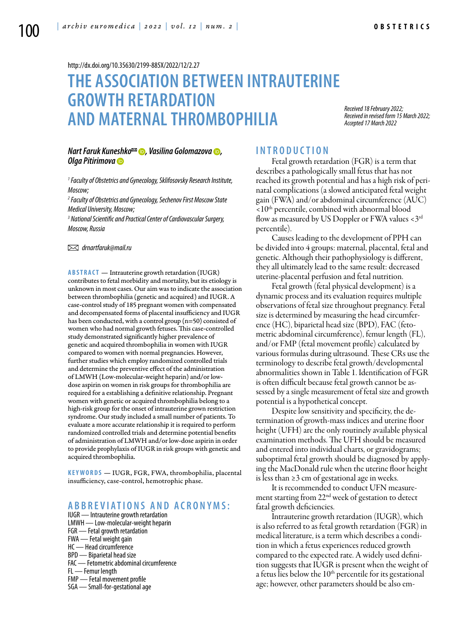<http://dx.doi.org/10.35630/2199-885X/2022/12/2.27>

# **The association between intrauterine growth retardation and maternal thrombophilia**

*Received 18 February 2022; Received in revised form 15 March 2022; Accepted 17 March 2022*

#### *Nart Faruk [Kuneshko](https://orcid.org/0000-0002-2754-5129) , [Vasilina Golomazova](https://orcid.org/0000-0002-9363-6440) , [Olga Pitirimova](https://orcid.org/0000-0002-9796-840X)*

*1 Faculty of Obstetrics and Gynecology, Sklifosovsky Research Institute, Moscow;*

*2 Faculty of Obstetrics and Gynecology, Sechenov First Moscow State Medical University, Moscow;*

*3 National Scientific and Practical Center of Cardiovascular Surgery, Moscow, Russia* 

 *drnartfaruk@mail.ru*

**Abstract** — Intrauterine growth retardation (IUGR) contributes to fetal morbidity and mortality, but its etiology is unknown in most cases. Our aim was to indicate the association between thrombophilia (genetic and acquired) and IUGR. A case-control study of 185 pregnant women with compensated and decompensated forms of placental insufficiency and IUGR has been conducted, with a control group (n=50) consisted of women who had normal growth fetuses. This case-controlled study demonstrated significantly higher prevalence of genetic and acquired thrombophilia in women with IUGR compared to women with normal pregnancies. However, further studies which employ randomized controlled trials and determine the preventive effect of the administration of LMWH (Low-molecular-weight heparin) and/or lowdose aspirin on women in risk groups for thrombophilia are required for a establishing a definitive relationship. Pregnant women with genetic or acquired thrombophilia belong to a high-risk group for the onset of intrauterine grown restriction syndrome. Our study included a small number of patients. To evaluate a more accurate relationship it is required to perform randomized controlled trials and determine potential benefits of administration of LMWH and/or low-dose aspirin in order to provide prophylaxis of IUGR in risk groups with genetic and acquired thrombophilia.

**K eywords** — IUGR, FGR, FWA, thrombophilia, placental insufficiency, case-control, hemotrophic phase.

# **A B B R E V I ATI ONS A N D A C R ON Y MS:**

IUGR — Intrauterine growth retardation LMWH — Low-molecular-weight heparin FGR — Fetal growth retardation FWA — Fetal weight gain HC — Head circumference BPD — Biparietal head size FAC — Fetometric abdominal circumference FL — Femur length FMP — Fetal movement profile SGA — Small-for-gestational age

# **I n t r o ducti o n**

Fetal growth retardation (FGR) is a term that describes a pathologically small fetus that has not reached its growth potential and has a high risk of perinatal complications (a slowed anticipated fetal weight gain (FWA) and/or abdominal circumference (AUC)  $\langle 10^{th}$  percentile, combined with abnormal blood flow as measured by US Doppler or FWA values  $<$  3<sup>rd</sup> percentile).

Causes leading to the development of PPH can be divided into 4 groups: maternal, placental, fetal and genetic. Although their pathophysiology is different, they all ultimately lead to the same result: decreased uterine-placental perfusion and fetal nutrition.

Fetal growth (fetal physical development) is a dynamic process and its evaluation requires multiple observations of fetal size throughout pregnancy. Fetal size is determined by measuring the head circumference (HC), biparietal head size (BPD), FAC (fetometric abdominal circumference), femur length (FL), and/or FMP (fetal movement profile) calculated by various formulas during ultrasound. These CRs use the terminology to describe fetal growth/developmental abnormalities shown in Table 1. Identification of FGR is often difficult because fetal growth cannot be assessed by a single measurement of fetal size and growth potential is a hypothetical concept.

Despite low sensitivity and specificity, the determination of growth-mass indices and uterine floor height (UFH) are the only routinely available physical examination methods. The UFH should be measured and entered into individual charts, or gravidograms; suboptimal fetal growth should be diagnosed by applying the MacDonald rule when the uterine floor height is less than ≥3 cm of gestational age in weeks.

It is recommended to conduct UFN measurement starting from 22<sup>nd</sup> week of gestation to detect fatal growth deficiencies.

Intrauterine growth retardation (IUGR), which is also referred to as fetal growth retardation (FGR) in medical literature, is a term which describes a condition in which a fetus experiences reduced growth compared to the expected rate. A widely used definition suggests that IUGR is present when the weight of a fetus lies below the  $10<sup>th</sup>$  percentile for its gestational age; however, other parameters should be also em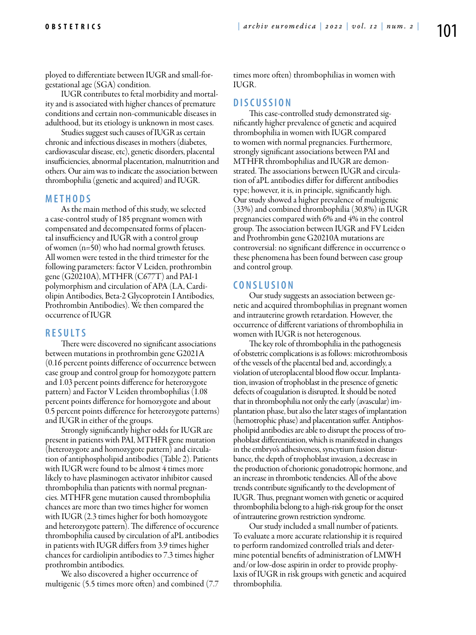ployed to differentiate between IUGR and small-forgestational age (SGA) condition.

IUGR contributes to fetal morbidity and mortality and is associated with higher chances of premature conditions and certain non-communicable diseases in adulthood, but its etiology is unknown in most cases.

Studies suggest such causes of IUGR as certain chronic and infectious diseases in mothers (diabetes, cardiovascular disease, etc), genetic disorders, placental insufficiencies, abnormal placentation, malnutrition and others. Our aim was to indicate the association between thrombophilia (genetic and acquired) and IUGR.

# **MET H O D S**

As the main method of this study, we selected a case-control study of 185 pregnant women with compensated and decompensated forms of placental insufficiency and IUGR with a control group of women (n=50) who had normal growth fetuses. All women were tested in the third trimester for the following parameters: factor V Leiden, prothrombin gene (G20210A), MTHFR (C677T) and PAI-1 polymorphism and circulation of APA (LA, Cardiolipin Antibodies, Beta-2 Glycoprotein I Antibodies, Prothrombin Antibodies). We then compared the occurrence of IUGR

# **R ES U LTS**

There were discovered no significant associations between mutations in prothrombin gene G2021A (0.16 percent points difference of occurrence between case group and control group for homozygote pattern and 1.03 percent points difference for heterozygote pattern) and Factor V Leiden thrombophilias (1.08 percent points difference for homozygote and about 0.5 percent points difference for heterozygote patterns) and IUGR in either of the groups.

Strongly significantly higher odds for IUGR are present in patients with PAI, MTHFR gene mutation (heterozygote and homozygote pattern) and circulation of antiphospholipid antibodies (Table 2). Patients with IUGR were found to be almost 4 times more likely to have plasminogen activator inhibitor caused thrombophilia than patients with normal pregnancies. MTHFR gene mutation caused thrombophilia chances are more than two times higher for women with IUGR (2.3 times higher for both homozygote and heterozygote pattern). The difference of occurence thrombophilia caused by circulation of aPL antibodies in patients with IUGR differs from 3.9 times higher chances for cardiolipin antibodies to 7.3 times higher prothrombin antibodies.

We also discovered a higher occurrence of multigenic (5.5 times more often) and combined (7.7 times more often) thrombophilias in women with IUGR.

### **D ISC U SSI ON**

This case-controlled study demonstrated significantly higher prevalence of genetic and acquired thrombophilia in women with IUGR compared to women with normal pregnancies. Furthermore, strongly significant associations between PAI and MTHFR thrombophilias and IUGR are demonstrated. The associations between IUGR and circulation of aPL antibodies differ for different antibodies type; however, it is, in principle, significantly high. Our study showed a higher prevalence of multigenic (33%) and combined thrombophilia (30,8%) in IUGR pregnancies compared with 6% and 4% in the control group. The association between IUGR and FV Leiden and Prothrombin gene G20210A mutations are controversial: no significant difference in occurrence o these phenomena has been found between case group and control group.

# **C ONSL U SI ON**

Our study suggests an association between genetic and acquired thrombophilias in pregnant women and intrauterine growth retardation. However, the occurrence of different variations of thrombophilia in women with IUGR is not heterogenous.

The key role of thrombophilia in the pathogenesis of obstetric complications is as follows: microthrombosis of the vessels of the placental bed and, accordingly, a violation of uteroplacental blood flow occur. Implantation, invasion of trophoblast in the presence of genetic defects of coagulation is disrupted. It should be noted that in thrombophilia not only the early (avascular) implantation phase, but also the later stages of implantation (hemotrophic phase) and placentation suffer. Antiphospholipid antibodies are able to disrupt the process of trophoblast differentiation, which is manifested in changes in the embryo's adhesiveness, syncytium fusion disturbance, the depth of trophoblast invasion, a decrease in the production of chorionic gonadotropic hormone, and an increase in thrombotic tendencies. All of the above trends contribute significantly to the development of IUGR. Thus, pregnant women with genetic or acquired thrombophilia belong to a high-risk group for the onset of intrauterine grown restriction syndrome.

Our study included a small number of patients. To evaluate a more accurate relationship it is required to perform randomized controlled trials and determine potential benefits of administration of LMWH and/or low-dose aspirin in order to provide prophylaxis of IUGR in risk groups with genetic and acquired thrombophilia.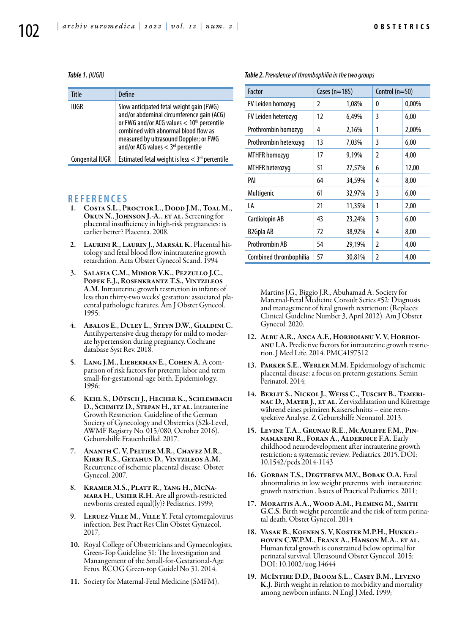#### *Table 1. (IUGR)*

| Title           | Define                                                                                                                                                                                                                                                                    |
|-----------------|---------------------------------------------------------------------------------------------------------------------------------------------------------------------------------------------------------------------------------------------------------------------------|
| IUGR            | Slow anticipated fetal weight gain (FWG)<br>and/or abdominal circumference gain (ACG)<br>or FWG and/or ACG values < 10th percentile<br>combined with abnormal blood flow as<br>measured by ultrasound Doppler; or FWG<br>and/or ACG values $<$ 3 <sup>rd</sup> percentile |
| Congenital IUGR | Estimated fetal weight is less $<$ 3 <sup>rd</sup> percentile                                                                                                                                                                                                             |

#### **R EFE R EN CES**

- 1. COSTA S.L., PROCTOR L., DODD J.M., TOAL M., OKUN N., JOHNSON J.-A., ET AL. Screening for placental insufficiency in high-risk pregnancies: is earlier better? Placenta. 2008.
- 2. LAURINI R., LAURIN J., MARSÁL K. Placental histology and fetal blood flow inintrauterine growth retardation. Acta Obstet Gynecol Scand. 1994
- 3. Salafia C.M., Minior V.K., Pezzullo J.C., Popek E.J., Rosenkrantz T.S., Vintzileos A.M. Intrauterine growth restriction in infants of less than thirty-two weeks' gestation: associated placental pathologic features. Am J Obstet Gynecol. 1995;
- 4. ABALOS E., DULEY L., STEYN D.W., GIALDINI C.<br>Antihypertensive drug therapy for mild to moderate hypertension during pregnancy. Cochrane database Syst Rev. 2018.
- 5. Lang J.M., Lieberman E., Cohen A. A comparison of risk factors for preterm labor and term small-for-gestational-age birth. Epidemiology. 1996;
- 6. Kehl S., Dötsch J., Hecher K., Schlembach D., SCHMITZ D., STEPAN H., ET AL. Intrauterine Growth Restriction. Guideline of the German Society of Gynecology and Obstetrics (S2k-Level, AWMF Registry No. 015/080, October 2016). Geburtshilfe Frauenheilkd. 2017.
- 7. Ananth C. V, Peltier M.R., Chavez M.R., Kirby R.S., Getahun D., Vintzileos A.M. Recurrence of ischemic placental disease. Obstet Gynecol. 2007.
- 8. Kramer M.S., Platt R., Yang H., McNamara H., Usher R.H. Are all growth-restricted newborns created equal(ly)? Pediatrics. 1999;
- 9. LERUEZ-VILLE M., VILLE Y. Fetal cytomegalovirus infection. Best Pract Res Clin Obstet Gynaecol. 2017;
- 10. Royal College of Obstetricians and Gynaecologists. Green-Top Guideline 31: The Investigation and Manangement of the Small-for-Gestational-Age Fetus. RCOG Green-top Guidel No 31. 2014.
- 11. Society for Maternal-Fetal Medicine (SMFM),

| Factor                 | Cases ( $n=185$ ) |        | Control $(n=50)$ |       |
|------------------------|-------------------|--------|------------------|-------|
| FV Leiden homozyg      | 2                 | 1,08%  | 0                | 0,00% |
| FV Leiden heterozyg    | 12                | 6,49%  | 3                | 6,00  |
| Prothrombin homozyg    | 4                 | 2,16%  | 1                | 2,00% |
| Prothrombin heterozyq  | 13                | 7,03%  | 3                | 6,00  |
| <b>MTHFR</b> homozyg   | 17                | 9,19%  | $\overline{2}$   | 4,00  |
| MTHFR heterozyg        | 51                | 27,57% | 6                | 12,00 |
| PAI                    | 64                | 34,59% | 4                | 8,00  |
| Multigenic             | 61                | 32,97% | 3                | 6,00  |
| LA                     | 21                | 11,35% | 1                | 2,00  |
| Cardiolopin AB         | 43                | 23,24% | 3                | 6,00  |
| B <sub>2</sub> Gpla AB | 72                | 38,92% | 4                | 8,00  |
| Prothrombin AB         | 54                | 29,19% | 2                | 4,00  |
| Combined thrombophilia | 57                | 30,81% | 2                | 4,00  |

*Table 2. Prevalence of thrombophilia in the two groups* 

Martins J.G., Biggio J.R., Abuhamad A. Society for Maternal-Fetal Medicine Consult Series #52: Diagnosis and management of fetal growth restriction: (Replaces Clinical Guideline Number 3, April 2012). Am J Obstet Gynecol. 2020.

- 12. Albu A.R., Anca A.F., Horhoianu V. V, Horhoianu I.A. Predictive factors for intrauterine growth restriction. J Med Life. 2014. PMC4197512
- 13. Parker S.E., Werler M.M. Epidemiology of ischemic placental disease: a focus on preterm gestations. Semin Perinatol. 2014;
- 14. Berlit S., Nickol J., Weiss C., Tuschy B., Temerinac D., Mayer J., et al. Zervixdilatation und Kürettage während eines primären Kaiserschnitts – eine retrospektive Analyse. Z Geburtshilfe Neonatol. 2013.
- 15. Levine T.A., Grunau R.E., McAuliffe F.M., Pin- namaneni R., Foran A., Alderdice F.A. Early childhood neurodevelopment after intrauterine growth restriction: a systematic review. Pediatrics. 2015. DOI: 10.1542/peds.2014-1143
- 16. Gorban T.S., Degtereva M.V., Bobak O.A. Fetal abnormalities in low weight preterms with intrauterine growth restriction . Issues of Practical Pediatrics. 2011;
- 17. Moraitis A.A., Wood A.M., Fleming M., Smith G.C.S. Birth weight percentile and the risk of term perinatal death. Obstet Gynecol. 2014
- 18. Vasak B., Koenen S. V, Koster M.P.H., Hukkelhoven C.W.P.M., Franx A., Hanson M.A., et al. Human fetal growth is constrained below optimal for perinatal survival. Ultrasound Obstet Gynecol. 2015; DOI: 10.1002/uog.14644
- 19. McIntire D.D., Bloom S.L., Casey B.M., Leveno K.J. Birth weight in relation to morbidity and mortality among newborn infants. N Engl J Med. 1999;